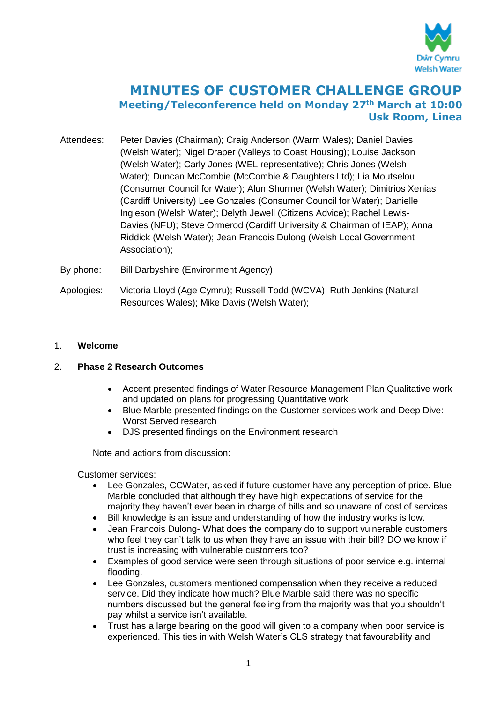

# **MINUTES OF CUSTOMER CHALLENGE GROUP Meeting/Teleconference held on Monday 27th March at 10:00 Usk Room, Linea**

- Attendees: Peter Davies (Chairman); Craig Anderson (Warm Wales); Daniel Davies (Welsh Water); Nigel Draper (Valleys to Coast Housing); Louise Jackson (Welsh Water); Carly Jones (WEL representative); Chris Jones (Welsh Water); Duncan McCombie (McCombie & Daughters Ltd); Lia Moutselou (Consumer Council for Water); Alun Shurmer (Welsh Water); Dimitrios Xenias (Cardiff University) Lee Gonzales (Consumer Council for Water); Danielle Ingleson (Welsh Water); Delyth Jewell (Citizens Advice); Rachel Lewis-Davies (NFU); Steve Ormerod (Cardiff University & Chairman of IEAP); Anna Riddick (Welsh Water); Jean Francois Dulong (Welsh Local Government Association);
- By phone: Bill Darbyshire (Environment Agency);
- Apologies: Victoria Lloyd (Age Cymru); Russell Todd (WCVA); Ruth Jenkins (Natural Resources Wales); Mike Davis (Welsh Water);

## 1. **Welcome**

## 2. **Phase 2 Research Outcomes**

- Accent presented findings of Water Resource Management Plan Qualitative work and updated on plans for progressing Quantitative work
- Blue Marble presented findings on the Customer services work and Deep Dive: Worst Served research
- DJS presented findings on the Environment research

Note and actions from discussion:

Customer services:

- Lee Gonzales, CCWater, asked if future customer have any perception of price. Blue Marble concluded that although they have high expectations of service for the majority they haven't ever been in charge of bills and so unaware of cost of services.
- Bill knowledge is an issue and understanding of how the industry works is low.
- Jean Francois Dulong- What does the company do to support vulnerable customers who feel they can't talk to us when they have an issue with their bill? DO we know if trust is increasing with vulnerable customers too?
- Examples of good service were seen through situations of poor service e.g. internal flooding.
- Lee Gonzales, customers mentioned compensation when they receive a reduced service. Did they indicate how much? Blue Marble said there was no specific numbers discussed but the general feeling from the majority was that you shouldn't pay whilst a service isn't available.
- Trust has a large bearing on the good will given to a company when poor service is experienced. This ties in with Welsh Water's CLS strategy that favourability and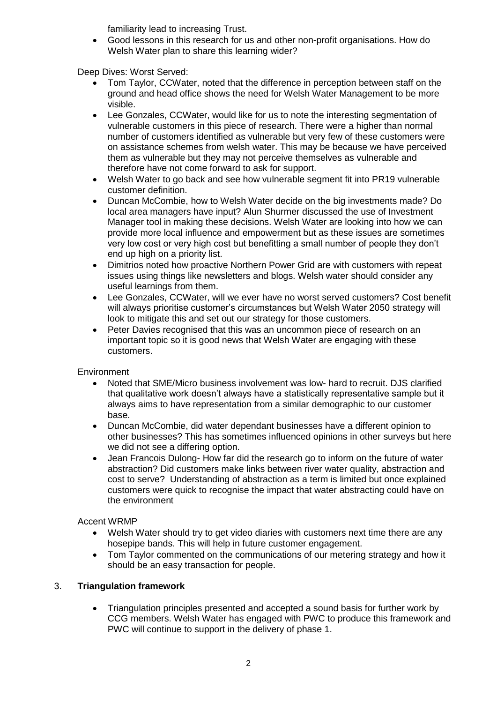familiarity lead to increasing Trust.

 Good lessons in this research for us and other non-profit organisations. How do Welsh Water plan to share this learning wider?

Deep Dives: Worst Served:

- Tom Taylor, CCWater, noted that the difference in perception between staff on the ground and head office shows the need for Welsh Water Management to be more visible.
- Lee Gonzales, CCWater, would like for us to note the interesting segmentation of vulnerable customers in this piece of research. There were a higher than normal number of customers identified as vulnerable but very few of these customers were on assistance schemes from welsh water. This may be because we have perceived them as vulnerable but they may not perceive themselves as vulnerable and therefore have not come forward to ask for support.
- Welsh Water to go back and see how vulnerable segment fit into PR19 vulnerable customer definition.
- Duncan McCombie, how to Welsh Water decide on the big investments made? Do local area managers have input? Alun Shurmer discussed the use of Investment Manager tool in making these decisions. Welsh Water are looking into how we can provide more local influence and empowerment but as these issues are sometimes very low cost or very high cost but benefitting a small number of people they don't end up high on a priority list.
- Dimitrios noted how proactive Northern Power Grid are with customers with repeat issues using things like newsletters and blogs. Welsh water should consider any useful learnings from them.
- Lee Gonzales, CCWater, will we ever have no worst served customers? Cost benefit will always prioritise customer's circumstances but Welsh Water 2050 strategy will look to mitigate this and set out our strategy for those customers.
- Peter Davies recognised that this was an uncommon piece of research on an important topic so it is good news that Welsh Water are engaging with these customers.

**Environment** 

- Noted that SME/Micro business involvement was low- hard to recruit. DJS clarified that qualitative work doesn't always have a statistically representative sample but it always aims to have representation from a similar demographic to our customer base.
- Duncan McCombie, did water dependant businesses have a different opinion to other businesses? This has sometimes influenced opinions in other surveys but here we did not see a differing option.
- Jean Francois Dulong- How far did the research go to inform on the future of water abstraction? Did customers make links between river water quality, abstraction and cost to serve? Understanding of abstraction as a term is limited but once explained customers were quick to recognise the impact that water abstracting could have on the environment

Accent WRMP

- Welsh Water should try to get video diaries with customers next time there are any hosepipe bands. This will help in future customer engagement.
- Tom Taylor commented on the communications of our metering strategy and how it should be an easy transaction for people.

## 3. **Triangulation framework**

 Triangulation principles presented and accepted a sound basis for further work by CCG members. Welsh Water has engaged with PWC to produce this framework and PWC will continue to support in the delivery of phase 1.